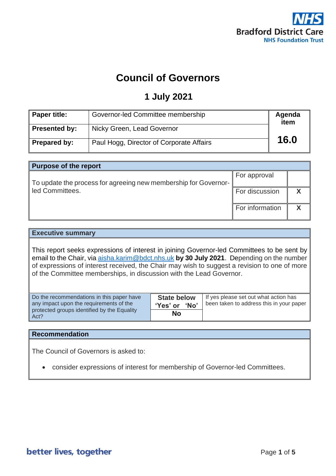

# **Council of Governors**

## **1 July 2021**

| Paper title:  | Governor-led Committee membership        | Agenda<br>item |
|---------------|------------------------------------------|----------------|
| Presented by: | Nicky Green, Lead Governor               |                |
| Prepared by:  | Paul Hogg, Director of Corporate Affairs | 16.0           |

| <b>Purpose of the report</b>                                    |                       |  |
|-----------------------------------------------------------------|-----------------------|--|
|                                                                 | For approval          |  |
| To update the process for agreeing new membership for Governor- |                       |  |
| led Committees.                                                 | <b>For discussion</b> |  |
|                                                                 |                       |  |
|                                                                 | For information       |  |
|                                                                 |                       |  |

#### **Executive summary**

This report seeks expressions of interest in joining Governor-led Committees to be sent by email to the Chair, via [aisha.karim@bdct.nhs.uk](mailto:aisha.karim@bdct.nhs.uk) **by 30 July 2021**. Depending on the number of expressions of interest received, the Chair may wish to suggest a revision to one of more of the Committee memberships, in discussion with the Lead Governor.

| Do the recommendations in this paper have<br>any impact upon the requirements of the | <b>State below</b><br>'No'<br>'Yes' or | If yes please set out what action has<br>been taken to address this in your paper |
|--------------------------------------------------------------------------------------|----------------------------------------|-----------------------------------------------------------------------------------|
| protected groups identified by the Equality<br>Act?                                  | No                                     |                                                                                   |

### **Recommendation**

The Council of Governors is asked to:

• consider expressions of interest for membership of Governor-led Committees.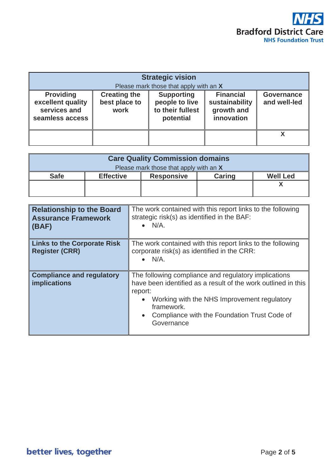

| <b>Strategic vision</b><br>Please mark those that apply with an X        |                                              |                                                                      |                                                                |                                   |
|--------------------------------------------------------------------------|----------------------------------------------|----------------------------------------------------------------------|----------------------------------------------------------------|-----------------------------------|
| <b>Providing</b><br>excellent quality<br>services and<br>seamless access | <b>Creating the</b><br>best place to<br>work | <b>Supporting</b><br>people to live<br>to their fullest<br>potential | <b>Financial</b><br>sustainability<br>growth and<br>innovation | <b>Governance</b><br>and well-led |
|                                                                          |                                              |                                                                      |                                                                |                                   |

| <b>Care Quality Commission domains</b>                                                   |  |  |  |  |
|------------------------------------------------------------------------------------------|--|--|--|--|
| Please mark those that apply with an X                                                   |  |  |  |  |
| <b>Safe</b><br><b>Caring</b><br><b>Well Led</b><br><b>Effective</b><br><b>Responsive</b> |  |  |  |  |
|                                                                                          |  |  |  |  |
|                                                                                          |  |  |  |  |

| <b>Relationship to the Board</b><br><b>Assurance Framework</b><br>(BAF) | The work contained with this report links to the following<br>strategic risk(s) as identified in the BAF:<br>$\bullet$ N/A.                                                                                                                                              |
|-------------------------------------------------------------------------|--------------------------------------------------------------------------------------------------------------------------------------------------------------------------------------------------------------------------------------------------------------------------|
| <b>Links to the Corporate Risk</b><br><b>Register (CRR)</b>             | The work contained with this report links to the following<br>corporate risk(s) as identified in the CRR:<br>$\bullet$ N/A.                                                                                                                                              |
| <b>Compliance and regulatory</b><br><b>implications</b>                 | The following compliance and regulatory implications<br>have been identified as a result of the work outlined in this<br>report:<br>Working with the NHS Improvement regulatory<br>framework.<br>Compliance with the Foundation Trust Code of<br>$\bullet$<br>Governance |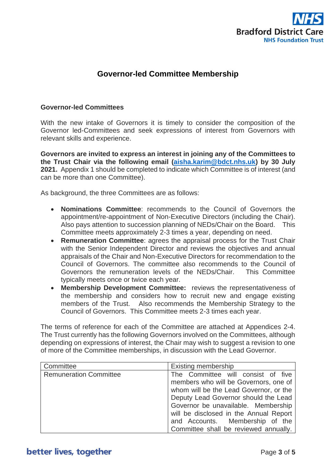

## **Governor-led Committee Membership**

#### **Governor-led Committees**

With the new intake of Governors it is timely to consider the composition of the Governor led-Committees and seek expressions of interest from Governors with relevant skills and experience.

**Governors are invited to express an interest in joining any of the Committees to the Trust Chair via the following email [\(aisha.karim@bdct.nhs.uk\)](mailto:aisha.karim@bdct.nhs.uk) by 30 July 2021.** Appendix 1 should be completed to indicate which Committee is of interest (and can be more than one Committee).

As background, the three Committees are as follows:

- **Nominations Committee**: recommends to the Council of Governors the appointment/re-appointment of Non-Executive Directors (including the Chair). Also pays attention to succession planning of NEDs/Chair on the Board. This Committee meets approximately 2-3 times a year, depending on need.
- **Remuneration Committee**: agrees the appraisal process for the Trust Chair with the Senior Independent Director and reviews the objectives and annual appraisals of the Chair and Non-Executive Directors for recommendation to the Council of Governors. The committee also recommends to the Council of Governors the remuneration levels of the NEDs/Chair. This Committee typically meets once or twice each year.
- **Membership Development Committee:** reviews the representativeness of the membership and considers how to recruit new and engage existing members of the Trust. Also recommends the Membership Strategy to the Council of Governors. This Committee meets 2-3 times each year.

The terms of reference for each of the Committee are attached at Appendices 2-4. The Trust currently has the following Governors involved on the Committees, although depending on expressions of interest, the Chair may wish to suggest a revision to one of more of the Committee memberships, in discussion with the Lead Governor.

| Committee                     | <b>Existing membership</b>             |
|-------------------------------|----------------------------------------|
| <b>Remuneration Committee</b> | The Committee will consist of five     |
|                               | members who will be Governors, one of  |
|                               | whom will be the Lead Governor, or the |
|                               | Deputy Lead Governor should the Lead   |
|                               | Governor be unavailable. Membership    |
|                               | will be disclosed in the Annual Report |
|                               | and Accounts. Membership of the        |
|                               | Committee shall be reviewed annually.  |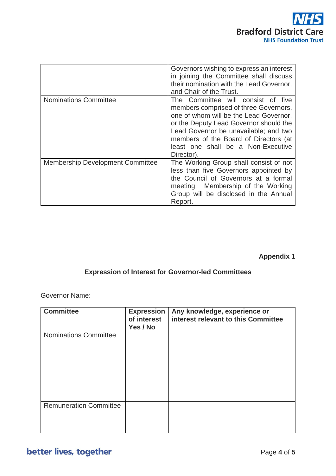

|                                  | Governors wishing to express an interest<br>in joining the Committee shall discuss<br>their nomination with the Lead Governor,<br>and Chair of the Trust.                                                                                                                                             |
|----------------------------------|-------------------------------------------------------------------------------------------------------------------------------------------------------------------------------------------------------------------------------------------------------------------------------------------------------|
| <b>Nominations Committee</b>     | The Committee will consist of five<br>members comprised of three Governors,<br>one of whom will be the Lead Governor,<br>or the Deputy Lead Governor should the<br>Lead Governor be unavailable; and two<br>members of the Board of Directors (at<br>least one shall be a Non-Executive<br>Director). |
| Membership Development Committee | The Working Group shall consist of not<br>less than five Governors appointed by<br>the Council of Governors at a formal<br>meeting. Membership of the Working<br>Group will be disclosed in the Annual<br>Report.                                                                                     |

## **Appendix 1**

## **Expression of Interest for Governor-led Committees**

Governor Name:

| <b>Committee</b>              | <b>Expression</b><br>of interest<br>Yes / No | Any knowledge, experience or<br>interest relevant to this Committee |
|-------------------------------|----------------------------------------------|---------------------------------------------------------------------|
| <b>Nominations Committee</b>  |                                              |                                                                     |
| <b>Remuneration Committee</b> |                                              |                                                                     |

better lives, together